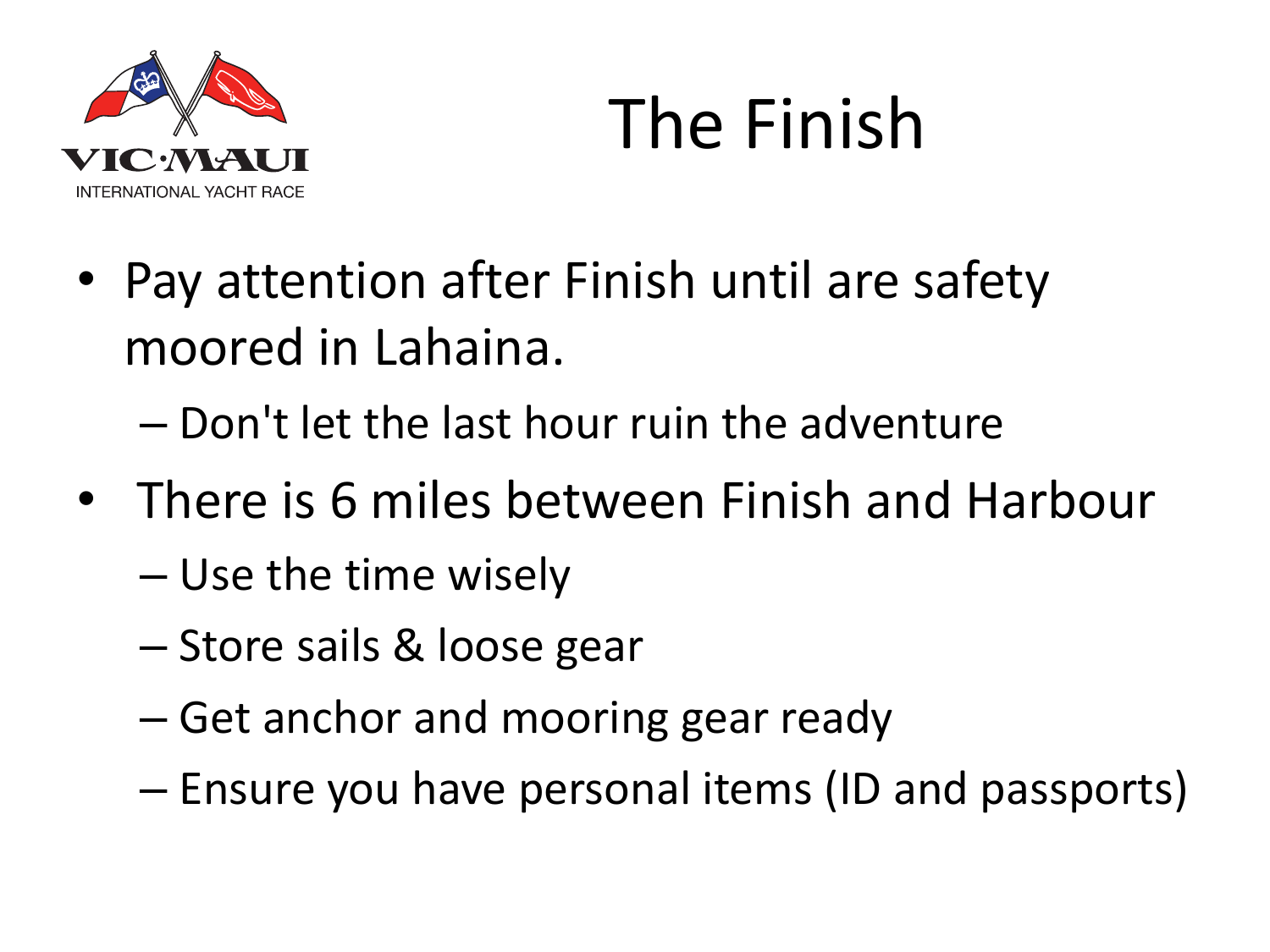

### The Finish

- Pay attention after Finish until are safety moored in Lahaina.
	- Don't let the last hour ruin the adventure
- There is 6 miles between Finish and Harbour
	- Use the time wisely
	- Store sails & loose gear
	- Get anchor and mooring gear ready
	- Ensure you have personal items (ID and passports)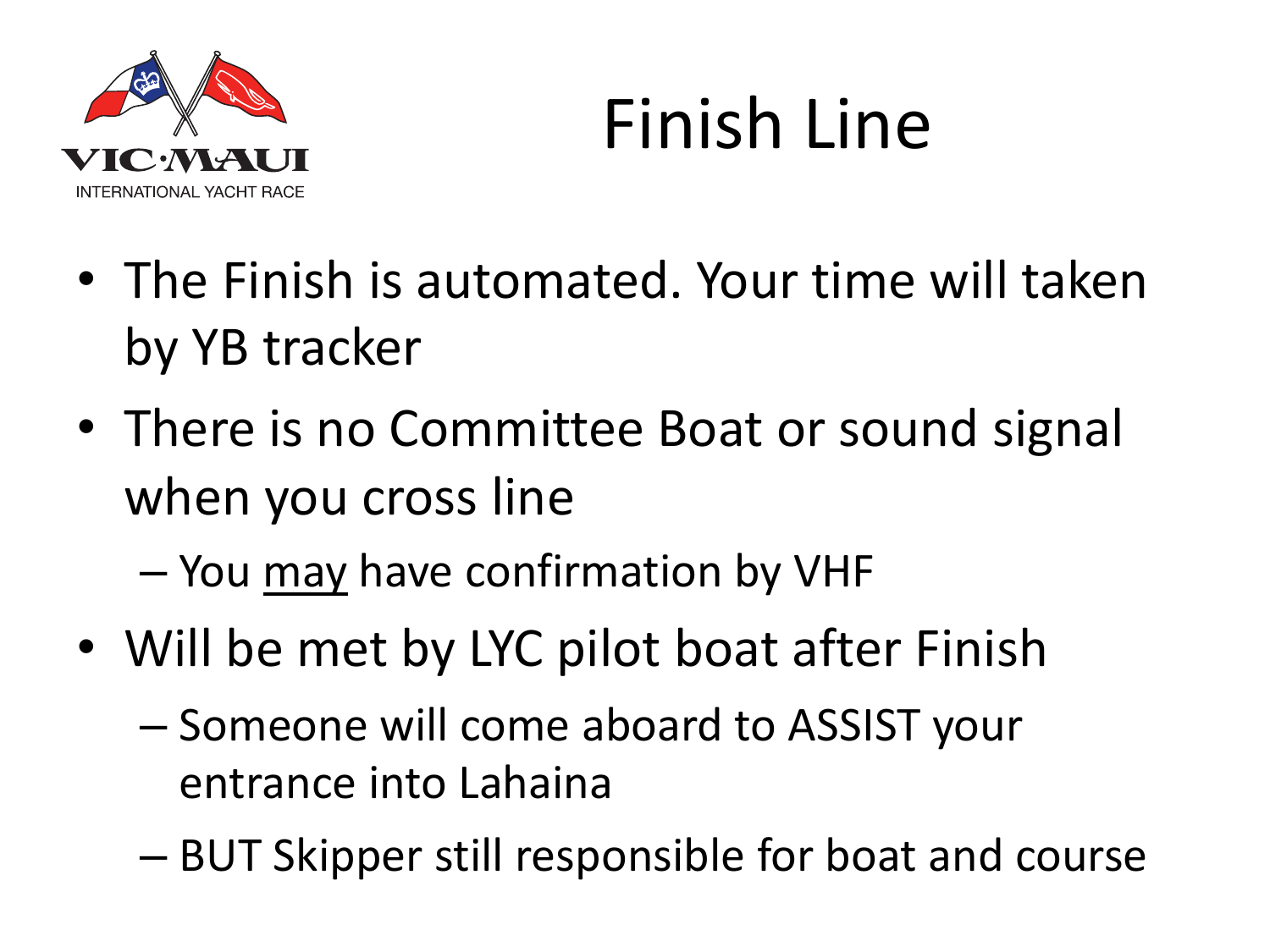

## Finish Line

- The Finish is automated. Your time will taken by YB tracker
- There is no Committee Boat or sound signal when you cross line
	- You may have confirmation by VHF
- Will be met by LYC pilot boat after Finish
	- Someone will come aboard to ASSIST your entrance into Lahaina
	- BUT Skipper still responsible for boat and course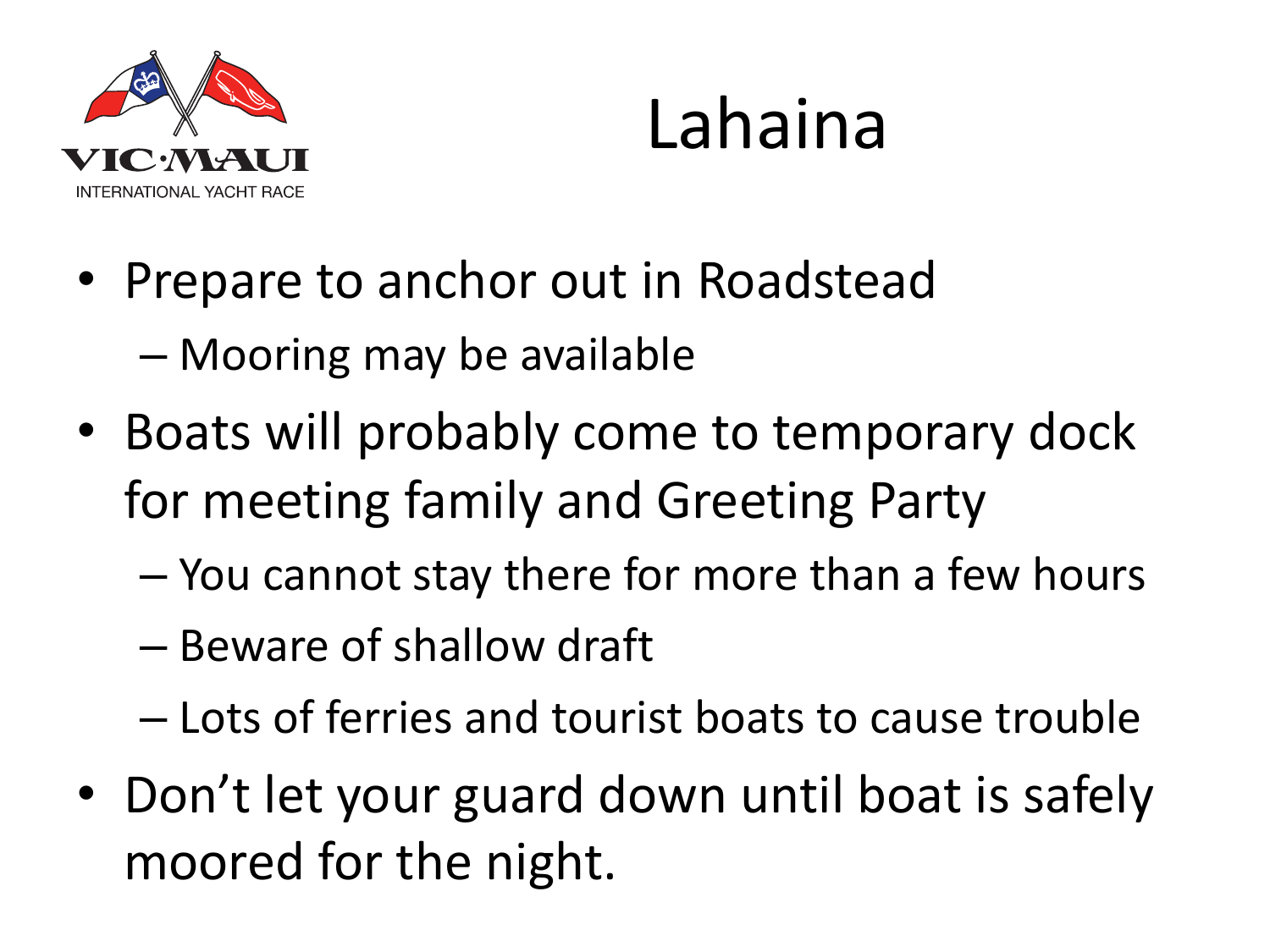

### Lahaina

- Prepare to anchor out in Roadstead – Mooring may be available
- Boats will probably come to temporary dock for meeting family and Greeting Party
	- You cannot stay there for more than a few hours
	- Beware of shallow draft
	- Lots of ferries and tourist boats to cause trouble
- Don't let your guard down until boat is safely moored for the night.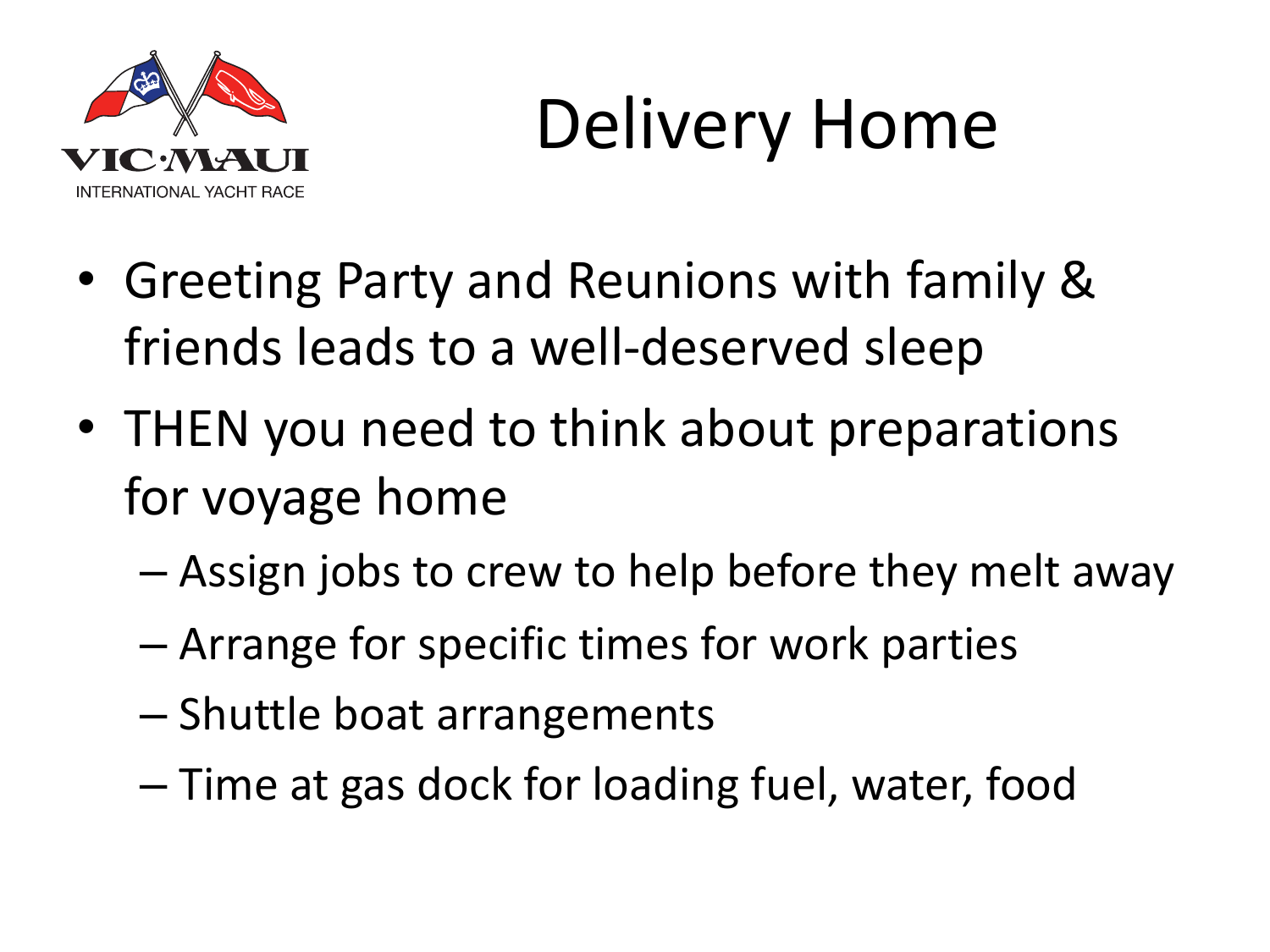

# Delivery Home

- Greeting Party and Reunions with family & friends leads to a well-deserved sleep
- THEN you need to think about preparations for voyage home
	- Assign jobs to crew to help before they melt away
	- Arrange for specific times for work parties
	- Shuttle boat arrangements
	- Time at gas dock for loading fuel, water, food